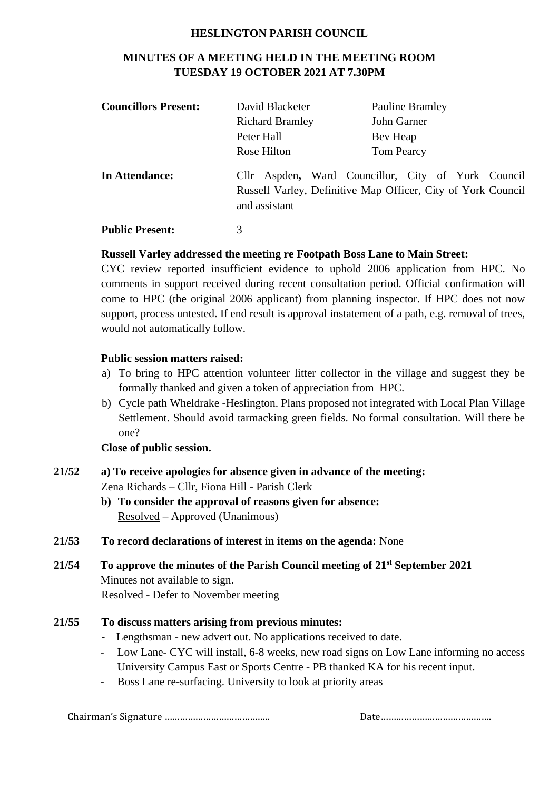#### **HESLINGTON PARISH COUNCIL**

# **MINUTES OF A MEETING HELD IN THE MEETING ROOM TUESDAY 19 OCTOBER 2021 AT 7.30PM**

| <b>Councillors Present:</b> | David Blacketer        | <b>Pauline Bramley</b>                                                                                             |
|-----------------------------|------------------------|--------------------------------------------------------------------------------------------------------------------|
|                             | <b>Richard Bramley</b> | John Garner                                                                                                        |
|                             | Peter Hall             | Bev Heap                                                                                                           |
|                             | Rose Hilton            | <b>Tom Pearcy</b>                                                                                                  |
| In Attendance:              | and assistant          | Cllr Aspden, Ward Councillor, City of York Council<br>Russell Varley, Definitive Map Officer, City of York Council |
| <b>Public Present:</b>      | 3                      |                                                                                                                    |

#### **Russell Varley addressed the meeting re Footpath Boss Lane to Main Street:**

CYC review reported insufficient evidence to uphold 2006 application from HPC. No comments in support received during recent consultation period. Official confirmation will come to HPC (the original 2006 applicant) from planning inspector. If HPC does not now support, process untested. If end result is approval instatement of a path, e.g. removal of trees, would not automatically follow.

#### **Public session matters raised:**

- a) To bring to HPC attention volunteer litter collector in the village and suggest they be formally thanked and given a token of appreciation from HPC.
- b) Cycle path Wheldrake -Heslington. Plans proposed not integrated with Local Plan Village Settlement. Should avoid tarmacking green fields. No formal consultation. Will there be one?

#### **Close of public session.**

- **21/52 a) To receive apologies for absence given in advance of the meeting:** Zena Richards – Cllr, Fiona Hill - Parish Clerk
	- **b) To consider the approval of reasons given for absence:** Resolved – Approved (Unanimous)
- **21/53 To record declarations of interest in items on the agenda:** None
- **21/54 To approve the minutes of the Parish Council meeting of 21st September 2021** Minutes not available to sign. Resolved - Defer to November meeting

### **21/55 To discuss matters arising from previous minutes:**

- Lengthsman new advert out. No applications received to date.
- Low Lane- CYC will install, 6-8 weeks, new road signs on Low Lane informing no access University Campus East or Sports Centre - PB thanked KA for his recent input.
- Boss Lane re-surfacing. University to look at priority areas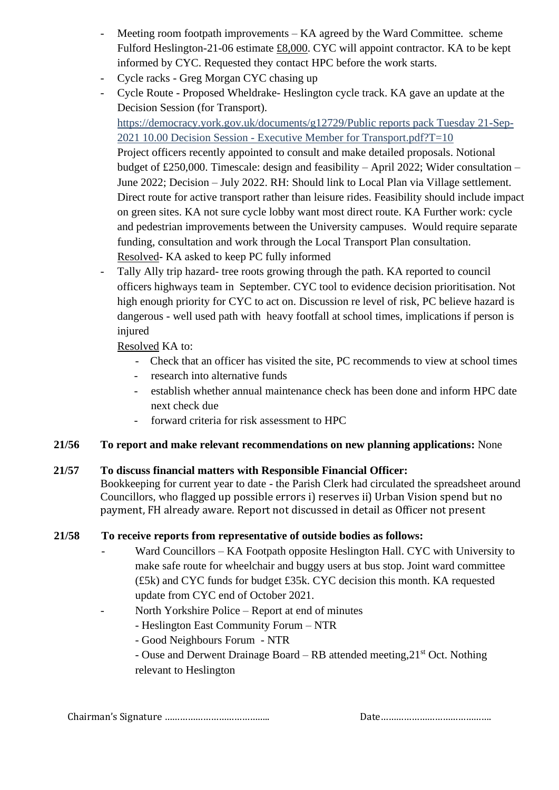- Meeting room footpath improvements KA agreed by the Ward Committee. scheme Fulford Heslington-21-06 estimate £8,000. CYC will appoint contractor. KA to be kept informed by CYC. Requested they contact HPC before the work starts.
- Cycle racks Greg Morgan CYC chasing up
- Cycle Route Proposed Wheldrake- Heslington cycle track. KA gave an update at the Decision Session (for Transport).

[https://democracy.york.gov.uk/documents/g12729/Public reports pack Tuesday 21-Sep-](about:blank)2021 10.00 Decision Session - [Executive Member for Transport.pdf?T=10](about:blank)

Project officers recently appointed to consult and make detailed proposals. Notional budget of £250,000. Timescale: design and feasibility – April 2022; Wider consultation – June 2022; Decision – July 2022. RH: Should link to Local Plan via Village settlement. Direct route for active transport rather than leisure rides. Feasibility should include impact on green sites. KA not sure cycle lobby want most direct route. KA Further work: cycle and pedestrian improvements between the University campuses. Would require separate funding, consultation and work through the Local Transport Plan consultation. Resolved- KA asked to keep PC fully informed

- Tally Ally trip hazard- tree roots growing through the path. KA reported to council officers highways team in September. CYC tool to evidence decision prioritisation. Not high enough priority for CYC to act on. Discussion re level of risk, PC believe hazard is dangerous - well used path with heavy footfall at school times, implications if person is injured

Resolved KA to:

- Check that an officer has visited the site, PC recommends to view at school times
- research into alternative funds
- establish whether annual maintenance check has been done and inform HPC date next check due
- forward criteria for risk assessment to HPC

### **21/56 To report and make relevant recommendations on new planning applications:** None

### **21/57 To discuss financial matters with Responsible Financial Officer:**

Bookkeeping for current year to date - the Parish Clerk had circulated the spreadsheet around Councillors, who flagged up possible errors i) reserves ii) Urban Vision spend but no payment, FH already aware. Report not discussed in detail as Officer not present

# **21/58 To receive reports from representative of outside bodies as follows:**

- Ward Councillors KA Footpath opposite Heslington Hall. CYC with University to make safe route for wheelchair and buggy users at bus stop. Joint ward committee (£5k) and CYC funds for budget £35k. CYC decision this month. KA requested update from CYC end of October 2021.
- North Yorkshire Police Report at end of minutes
	- Heslington East Community Forum NTR
	- Good Neighbours Forum NTR
	- Ouse and Derwent Drainage Board RB attended meeting,21st Oct. Nothing relevant to Heslington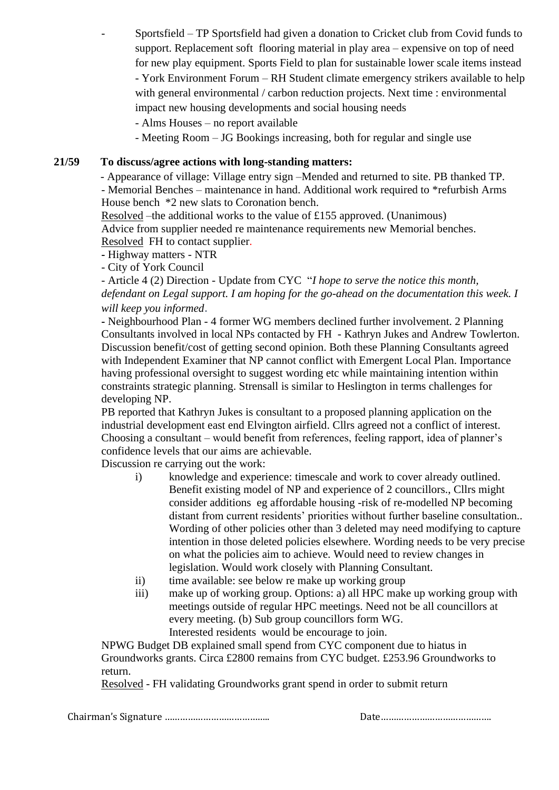Sportsfield – TP Sportsfield had given a donation to Cricket club from Covid funds to support. Replacement soft flooring material in play area – expensive on top of need for new play equipment. Sports Field to plan for sustainable lower scale items instead - York Environment Forum – RH Student climate emergency strikers available to help with general environmental / carbon reduction projects. Next time : environmental impact new housing developments and social housing needs

- Alms Houses – no report available

- Meeting Room – JG Bookings increasing, both for regular and single use

### **21/59 To discuss/agree actions with long-standing matters:**

- Appearance of village: Village entry sign –Mended and returned to site. PB thanked TP. - Memorial Benches – maintenance in hand. Additional work required to \*refurbish Arms House bench \*2 new slats to Coronation bench.

Resolved –the additional works to the value of £155 approved. (Unanimous) Advice from supplier needed re maintenance requirements new Memorial benches. Resolved FH to contact supplier.

- **-** Highway matters NTR
- City of York Council

- Article 4 (2) Direction - Update from CYC "*I hope to serve the notice this month, defendant on Legal support. I am hoping for the go-ahead on the documentation this week. I will keep you informed*.

**-** Neighbourhood Plan - 4 former WG members declined further involvement. 2 Planning Consultants involved in local NPs contacted by FH - Kathryn Jukes and Andrew Towlerton. Discussion benefit/cost of getting second opinion. Both these Planning Consultants agreed with Independent Examiner that NP cannot conflict with Emergent Local Plan. Importance having professional oversight to suggest wording etc while maintaining intention within constraints strategic planning. Strensall is similar to Heslington in terms challenges for developing NP.

PB reported that Kathryn Jukes is consultant to a proposed planning application on the industrial development east end Elvington airfield. Cllrs agreed not a conflict of interest. Choosing a consultant – would benefit from references, feeling rapport, idea of planner's confidence levels that our aims are achievable.

Discussion re carrying out the work:

- i) knowledge and experience: timescale and work to cover already outlined. Benefit existing model of NP and experience of 2 councillors., Cllrs might consider additions eg affordable housing -risk of re-modelled NP becoming distant from current residents' priorities without further baseline consultation.. Wording of other policies other than 3 deleted may need modifying to capture intention in those deleted policies elsewhere. Wording needs to be very precise on what the policies aim to achieve. Would need to review changes in legislation. Would work closely with Planning Consultant.
- ii) time available: see below re make up working group
- iii) make up of working group. Options: a) all HPC make up working group with meetings outside of regular HPC meetings. Need not be all councillors at every meeting. (b) Sub group councillors form WG. Interested residents would be encourage to join.

NPWG Budget DB explained small spend from CYC component due to hiatus in Groundworks grants. Circa £2800 remains from CYC budget. £253.96 Groundworks to return.

Resolved - FH validating Groundworks grant spend in order to submit return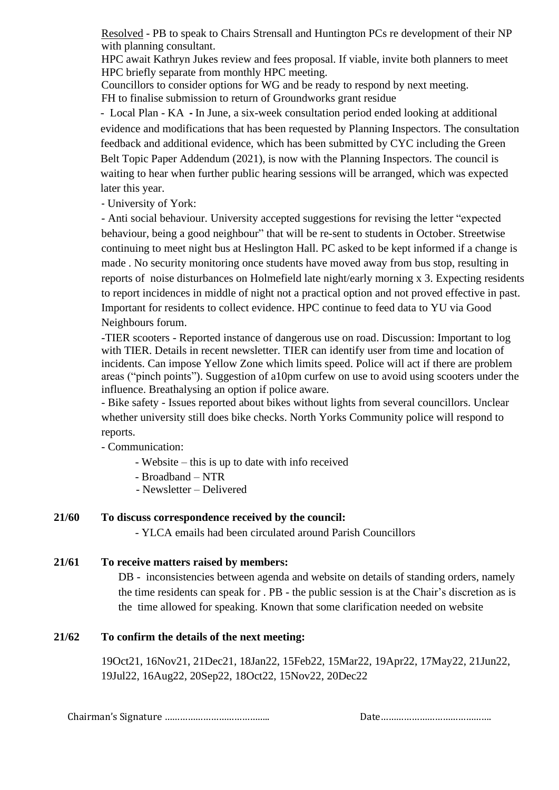Resolved - PB to speak to Chairs Strensall and Huntington PCs re development of their NP with planning consultant.

HPC await Kathryn Jukes review and fees proposal. If viable, invite both planners to meet HPC briefly separate from monthly HPC meeting.

Councillors to consider options for WG and be ready to respond by next meeting. FH to finalise submission to return of Groundworks grant residue

- Local Plan - KA **-** In June, a six-week consultation period ended looking at additional evidence and modifications that has been requested by Planning Inspectors. The consultation feedback and additional evidence, which has been submitted by CYC including the Green Belt Topic Paper Addendum (2021), is now with the Planning Inspectors. The council is waiting to hear when further public hearing sessions will be arranged, which was expected later this year.

- University of York:

- Anti social behaviour. University accepted suggestions for revising the letter "expected behaviour, being a good neighbour" that will be re-sent to students in October. Streetwise continuing to meet night bus at Heslington Hall. PC asked to be kept informed if a change is made . No security monitoring once students have moved away from bus stop, resulting in reports of noise disturbances on Holmefield late night/early morning x 3. Expecting residents to report incidences in middle of night not a practical option and not proved effective in past. Important for residents to collect evidence. HPC continue to feed data to YU via Good Neighbours forum.

-TIER scooters - Reported instance of dangerous use on road. Discussion: Important to log with TIER. Details in recent newsletter. TIER can identify user from time and location of incidents. Can impose Yellow Zone which limits speed. Police will act if there are problem areas ("pinch points"). Suggestion of a10pm curfew on use to avoid using scooters under the influence. Breathalysing an option if police aware.

- Bike safety - Issues reported about bikes without lights from several councillors. Unclear whether university still does bike checks. North Yorks Community police will respond to reports.

- Communication:

- Website – this is up to date with info received

- Broadband NTR
- Newsletter Delivered

### **21/60 To discuss correspondence received by the council:**

- YLCA emails had been circulated around Parish Councillors

# **21/61 To receive matters raised by members:**

DB - inconsistencies between agenda and website on details of standing orders, namely the time residents can speak for . PB - the public session is at the Chair's discretion as is the time allowed for speaking. Known that some clarification needed on website

# **21/62 To confirm the details of the next meeting:**

19Oct21, 16Nov21, 21Dec21, 18Jan22, 15Feb22, 15Mar22, 19Apr22, 17May22, 21Jun22, 19Jul22, 16Aug22, 20Sep22, 18Oct22, 15Nov22, 20Dec22